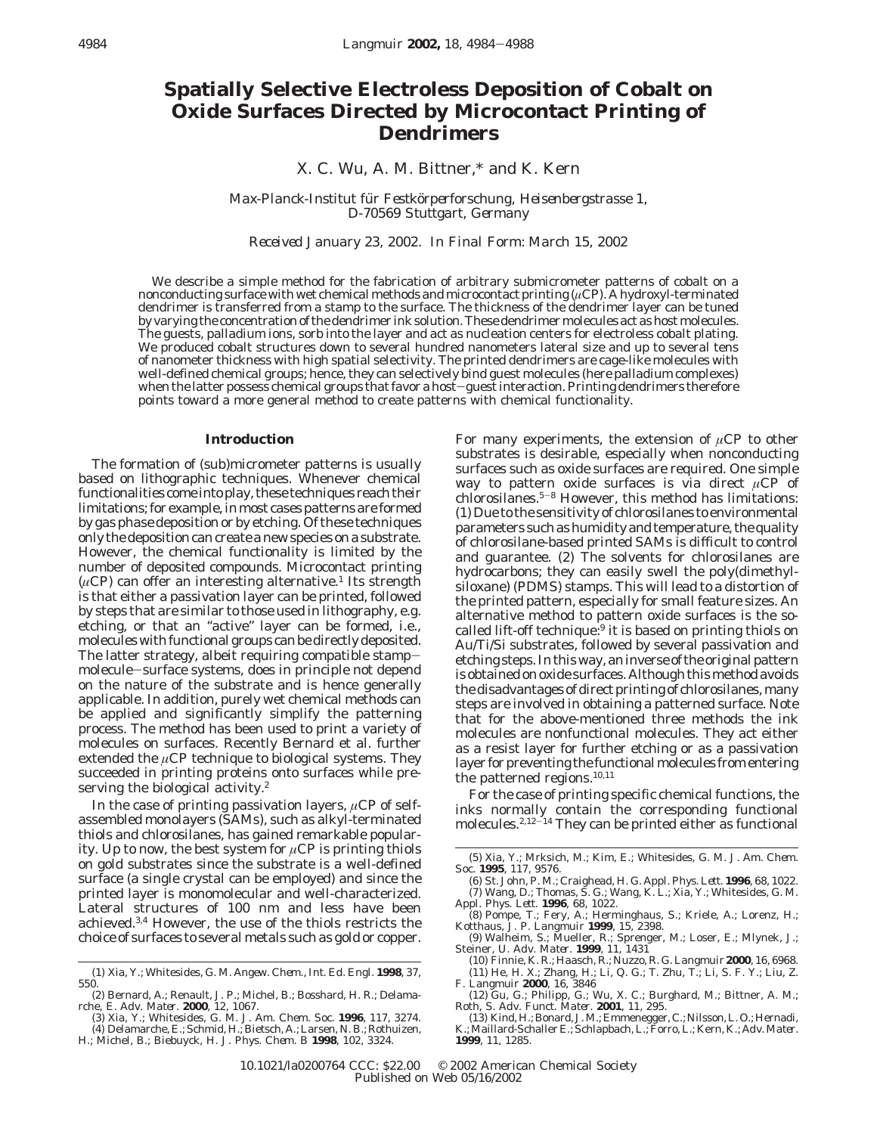# **Spatially Selective Electroless Deposition of Cobalt on Oxide Surfaces Directed by Microcontact Printing of Dendrimers**

X. C. Wu, A. M. Bittner,\* and K. Kern

*Max-Planck-Institut fu*¨ *r Festko*¨*rperforschung, Heisenbergstrasse 1, D-70569 Stuttgart, Germany*

*Received January 23, 2002. In Final Form: March 15, 2002*

We describe a simple method for the fabrication of arbitrary submicrometer patterns of cobalt on a nonconducting surface with wet chemical methods and microcontact printing (*µ*CP). A hydroxyl-terminated dendrimer is transferred from a stamp to the surface. The thickness of the dendrimer layer can be tuned by varying the concentration of the dendrimer ink solution. These dendrimer molecules act as host molecules. The guests, palladium ions, sorb into the layer and act as nucleation centers for electroless cobalt plating. We produced cobalt structures down to several hundred nanometers lateral size and up to several tens of nanometer thickness with high spatial selectivity. The printed dendrimers are cage-like molecules with well-defined chemical groups; hence, they can selectively bind guest molecules (here palladium complexes) when the latter possess chemical groups that favor a host-guest interaction. Printing dendrimers therefore points toward a more general method to create patterns with chemical functionality.

#### **Introduction**

The formation of (sub)micrometer patterns is usually based on lithographic techniques. Whenever chemical functionalities come into play, these techniques reach their limitations; for example, in most cases patterns are formed by gas phase deposition or by etching. Of these techniques only the deposition can create a new species on a substrate. However, the chemical functionality is limited by the number of deposited compounds. Microcontact printing (*µ*CP) can offer an interesting alternative.1 Its strength is that either a passivation layer can be printed, followed by steps that are similar to those used in lithography, e.g. etching, or that an "active" layer can be formed, i.e., molecules with functional groups can be directly deposited. The latter strategy, albeit requiring compatible stampmolecule-surface systems, does in principle not depend on the nature of the substrate and is hence generally applicable. In addition, purely wet chemical methods can be applied and significantly simplify the patterning process. The method has been used to print a variety of molecules on surfaces. Recently Bernard et al. further extended the  $\mu$ CP technique to biological systems. They succeeded in printing proteins onto surfaces while preserving the biological activity.<sup>2</sup>

In the case of printing passivation layers,  $\mu$ CP of selfassembled monolayers (SAMs), such as alkyl-terminated thiols and chlorosilanes, has gained remarkable popularity. Up to now, the best system for *µ*CP is printing thiols on gold substrates since the substrate is a well-defined surface (a single crystal can be employed) and since the printed layer is monomolecular and well-characterized. Lateral structures of 100 nm and less have been achieved.3,4 However, the use of the thiols restricts the choice of surfaces to several metals such as gold or copper.

For many experiments, the extension of  $\mu$ CP to other substrates is desirable, especially when nonconducting surfaces such as oxide surfaces are required. One simple way to pattern oxide surfaces is via direct *µ*CP of chlorosilanes. $5-8$  However, this method has limitations: (1) Due to the sensitivity of chlorosilanes to environmental parameters such as humidity and temperature, the quality of chlorosilane-based printed SAMs is difficult to control and guarantee. (2) The solvents for chlorosilanes are hydrocarbons; they can easily swell the poly(dimethylsiloxane) (PDMS) stamps. This will lead to a distortion of the printed pattern, especially for small feature sizes. An alternative method to pattern oxide surfaces is the socalled lift-off technique:<sup>9</sup> it is based on printing thiols on Au/Ti/Si substrates, followed by several passivation and etching steps. In this way, an inverse of the original pattern is obtained on oxide surfaces. Although this method avoids the disadvantages of direct printing of chlorosilanes, many steps are involved in obtaining a patterned surface. Note that for the above-mentioned three methods the ink molecules are *nonfunctional* molecules. They act either as a resist layer for further etching or as a passivation layer for preventing the functional molecules from entering the patterned regions.<sup>10,11</sup>

For the case of printing specific chemical functions, the inks normally contain the corresponding functional molecules.<sup>2,12-14</sup> They can be printed either as functional

- 
- 
- F. *Langmuir* **2000**, *16*, 3846 (12) Gu, G.; Philipp, G.; Wu, X. C.; Burghard, M.; Bittner, A. M.;

Roth, S. *Adv. Funct. Mater.* **2001**, *11*, 295. (13) Kind, H.; Bonard, J. M.; Emmenegger, C.; Nilsson, L. O.; Hernadi, K.; Maillard-Schaller E.; Schlapbach, L.; Forro, L.; Kern, K.; *Adv. Mater.* **1999**, *11*, 1285.

<sup>(1)</sup> Xia, Y.; Whitesides, G. M. *Angew. Chem., Int. Ed. Engl.* **1998**, *37*, 550.

<sup>(2)</sup> Bernard, A.; Renault, J. P.; Michel, B.; Bosshard, H. R.; Delamarche, E. *Adv. Mater.* **2000**, *12*, 1067. (3) Xia, Y.; Whitesides, G. M. *J. Am. Chem. Soc.* **1996**, *117*, 3274.

<sup>(4)</sup> Delamarche, E.; Schmid, H.; Bietsch, A.; Larsen, N. B.; Rothuizen,

H.; Michel, B.; Biebuyck, H. *J. Phys. Chem. B* **1998**, *102*, 3324.

<sup>(5)</sup> Xia, Y.; Mrksich, M.; Kim, E.; Whitesides, G. M. *J. Am. Chem. Soc.* **1995**, *117*, 9576.

<sup>(6)</sup> St. John, P. M.; Craighead, H. G. *Appl. Phys. Lett.* **1996**, *68*, 1022. (7) Wang, D.; Thomas, S. G.; Wang, K. L.; Xia, Y.; Whitesides, G. M. *Appl. Phys. Lett.* **1996**, *68*, 1022.

<sup>(8)</sup> Pompe, T.; Fery, A.; Herminghaus, S.; Kriele, A.; Lorenz, H.; Kotthaus, J. P. *Langmuir* **1999**, *15*, 2398.<br>
(9) Walheim, S.; Mueller, R.; Sprenger, M.; Loser, E.; Mlynek, J.; Steiner, U. *Adv. Mater.* **1999**, *11*,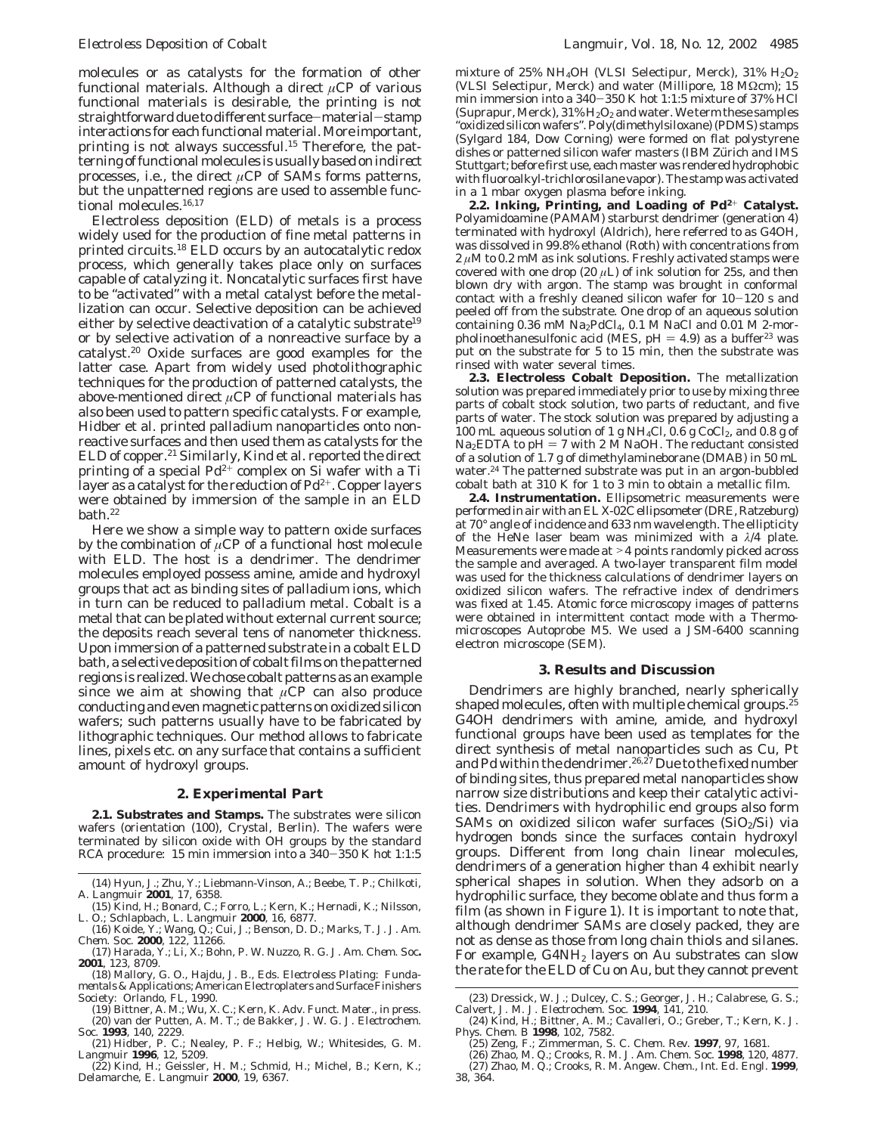molecules or as catalysts for the formation of other functional materials. Although a direct *µ*CP of various functional materials is desirable, the printing is not straightforward due to different surface-material-stamp interactions for each functional material. More important, printing is not always successful.15 Therefore, the patterning of functional molecules is usually based on*indirect* processes, i.e., the direct *µ*CP of SAMs forms patterns, but the unpatterned regions are used to assemble functional molecules.<sup>16,17</sup>

Electroless deposition (ELD) of metals is a process widely used for the production of fine metal patterns in printed circuits.18 ELD occurs by an autocatalytic redox process, which generally takes place only on surfaces capable of catalyzing it. Noncatalytic surfaces first have to be "activated" with a metal catalyst before the metallization can occur. Selective deposition can be achieved either by selective deactivation of a catalytic substrate<sup>19</sup> or by selective activation of a nonreactive surface by a catalyst.20 Oxide surfaces are good examples for the latter case. Apart from widely used photolithographic techniques for the production of patterned catalysts, the above-mentioned direct *µ*CP of functional materials has also been used to pattern specific catalysts. For example, Hidber et al. printed palladium nanoparticles onto nonreactive surfaces and then used them as catalysts for the ELD of copper.21 Similarly, Kind et al. reported the direct printing of a special  $Pd^{2+}$  complex on Si wafer with a Ti layer as a catalyst for the reduction of  $Pd^{2+}$ . Copper layers were obtained by immersion of the sample in an ELD bath.22

Here we show a simple way to pattern oxide surfaces by the combination of *µ*CP of a functional host molecule with ELD. The host is a dendrimer. The dendrimer molecules employed possess amine, amide and hydroxyl groups that act as binding sites of palladium ions, which in turn can be reduced to palladium metal. Cobalt is a metal that can be plated without external current source; the deposits reach several tens of nanometer thickness. Upon immersion of a patterned substrate in a cobalt ELD bath, a selective deposition of cobalt films on the patterned regions is realized. We chose cobalt patterns as an example since we aim at showing that  $\mu$ CP can also produce conducting and even magnetic patterns on oxidized silicon wafers; such patterns usually have to be fabricated by lithographic techniques. Our method allows to fabricate lines, pixels etc. on any surface that contains a sufficient amount of hydroxyl groups.

### **2. Experimental Part**

**2.1. Substrates and Stamps.** The substrates were silicon wafers (orientation (100), Crystal, Berlin). The wafers were terminated by silicon oxide with OH groups by the standard RCA procedure: 15 min immersion into a 340-350 K hot 1:1:5 mixture of 25% NH<sub>4</sub>OH (VLSI Selectipur, Merck), 31% H<sub>2</sub>O<sub>2</sub> (VLSI Selectipur, Merck) and water (Millipore, 18 MΩcm); 15 min immersion into a 340-350 K hot 1:1:5 mixture of 37% HCl (Suprapur, Merck),  $31\%$   $H_2O_2$  and water. We term these samples "oxidized silicon wafers". Poly(dimethylsiloxane) (PDMS) stamps (Sylgard 184, Dow Corning) were formed on flat polystyrene dishes or patterned silicon wafer masters (IBM Zürich and IMS Stuttgart; before first use, each master was rendered hydrophobic with fluoroalkyl-trichlorosilane vapor). The stamp was activated in a 1 mbar oxygen plasma before inking.

**2.2. Inking, Printing, and Loading of Pd2**<sup>+</sup> **Catalyst.** Polyamidoamine (PAMAM) starburst dendrimer (generation 4) terminated with hydroxyl (Aldrich), here referred to as G4OH, was dissolved in 99.8% ethanol (Roth) with concentrations from 2 *µ*M to 0.2 mM as ink solutions. Freshly activated stamps were covered with one drop  $(20 \mu L)$  of ink solution for 25s, and then blown dry with argon. The stamp was brought in conformal contact with a freshly cleaned silicon wafer for 10-120 s and peeled off from the substrate. One drop of an aqueous solution containing  $0.36$  mM Na<sub>2</sub>PdCl<sub>4</sub>,  $0.1$  M NaCl and  $0.01$  M 2-morpholinoethanesulfonic acid (MES,  $pH = 4.9$ ) as a buffer<sup>23</sup> was put on the substrate for 5 to 15 min, then the substrate was rinsed with water several times.

**2.3. Electroless Cobalt Deposition.** The metallization solution was prepared immediately prior to use by mixing three parts of cobalt stock solution, two parts of reductant, and five parts of water. The stock solution was prepared by adjusting a  $100$  mL aqueous solution of 1 g NH<sub>4</sub>Cl,  $0.6$  g CoCl<sub>2</sub>, and  $0.8$  g of  $Na<sub>2</sub>EDTA$  to pH = 7 with 2 M NaOH. The reductant consisted of a solution of 1.7 g of dimethylamineborane (DMAB) in 50 mL water.<sup>24</sup> The patterned substrate was put in an argon-bubbled cobalt bath at 310 K for 1 to 3 min to obtain a metallic film.

**2.4. Instrumentation.** Ellipsometric measurements were performed in air with an EL X-02C ellipsometer (DRE, Ratzeburg) at 70° angle of incidence and 633 nm wavelength. The ellipticity of the HeNe laser beam was minimized with a *λ*/4 plate. Measurements were made at >4 points randomly picked across the sample and averaged. A two-layer transparent film model was used for the thickness calculations of dendrimer layers on oxidized silicon wafers. The refractive index of dendrimers was fixed at 1.45. Atomic force microscopy images of patterns were obtained in intermittent contact mode with a Thermomicroscopes Autoprobe M5. We used a JSM-6400 scanning electron microscope (SEM).

## **3. Results and Discussion**

Dendrimers are highly branched, nearly spherically shaped molecules, often with multiple chemical groups.<sup>25</sup> G4OH dendrimers with amine, amide, and hydroxyl functional groups have been used as templates for the direct synthesis of metal nanoparticles such as Cu, Pt and Pd within the dendrimer.<sup>26,27</sup> Due to the fixed number of binding sites, thus prepared metal nanoparticles show narrow size distributions and keep their catalytic activities. Dendrimers with hydrophilic end groups also form SAMs on oxidized silicon wafer surfaces  $(SiO<sub>2</sub>/Si)$  via hydrogen bonds since the surfaces contain hydroxyl groups. Different from long chain linear molecules, dendrimers of a generation higher than 4 exhibit nearly spherical shapes in solution. When they adsorb on a hydrophilic surface, they become oblate and thus form a film (as shown in Figure 1). It is important to note that, although dendrimer SAMs are closely packed, they are not as dense as those from long chain thiols and silanes. For example, G4NH2 layers on Au substrates can slow the rate for the ELD of Cu on Au, but they cannot prevent

<sup>(14)</sup> Hyun, J.; Zhu, Y.; Liebmann-Vinson, A.; Beebe, T. P.; Chilkoti, A. *Langmuir* **2001**, *17*, 6358.

<sup>(15)</sup> Kind, H.; Bonard, C.; Forro, L.; Kern, K.; Hernadi, K.; Nilsson, L. O.; Schlapbach, L. *Langmuir* **2000**, *16*, 6877.

<sup>(16)</sup> Koide, Y.; Wang, Q.; Cui, J.; Benson, D. D.; Marks, T. J. *J. Am. Chem. Soc.* **2000**, *122*, 11266.

<sup>(17)</sup> Harada, Y.; Li, X.; Bohn, P. W. Nuzzo, R. G. *J. Am. Chem. Soc.* **2001**, *123*, 8709.

<sup>(18)</sup> Mallory, G. O., Hajdu, J. B., Eds. *Electroless Plating: Fundamentals & Applications*; American Electroplaters and Surface Finishers Society: Orlando, FL, 1990.

<sup>(19)</sup> Bittner, A. M.; Wu, X. C.; Kern, K. *Adv. Funct. Mater.*, in press. (20) van der Putten, A. M. T.; de Bakker, J. W. G. *J. Electrochem. Soc.* **1993**, *140*, 2229.

<sup>(21)</sup> Hidber, P. C.; Nealey, P. F.; Helbig, W.; Whitesides, G. M.

*Langmuir* **1996**, *12*, 5209. (22) Kind, H.; Geissler, H. M.; Schmid, H.; Michel, B.; Kern, K.; Delamarche, E. *Langmuir* **2000**, *19*, 6367.

<sup>(23)</sup> Dressick, W. J.; Dulcey, C. S.; Georger, J. H.; Calabrese, G. S.; Calvert, J. M. *J. Electrochem. Soc.* **1994**, *141*, 210.

<sup>(24)</sup> Kind, H.; Bittner, A. M.; Cavalleri, O.; Greber, T.; Kern, K. *J. Phys. Chem. B* **1998**, *102*, 7582. (25) Zeng, F.; Zimmerman, S. C. *Chem. Rev.* **1997**, *97*, 1681.

<sup>(26)</sup> Zhao, M. Q.; Crooks, R. M. *J. Am. Chem. Soc.* **1998**, *120*, 4877. (27) Zhao, M. Q.; Crooks, R. M. *Angew. Chem., Int. Ed. Engl.* **1999**, *38*, 364.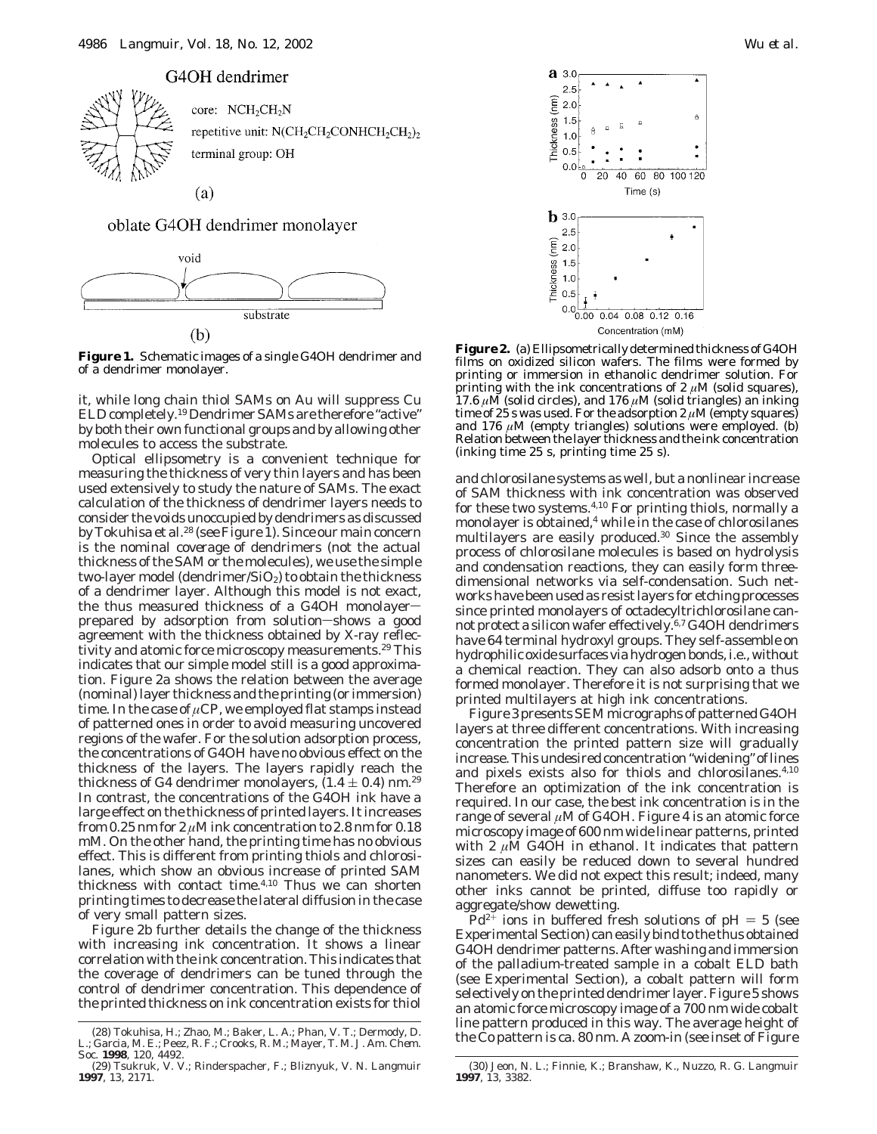



**Figure 1.** Schematic images of a single G4OH dendrimer and of a dendrimer monolayer.

it, while long chain thiol SAMs on Au will suppress Cu ELD completely.19Dendrimer SAMs are therefore "active" by both their own functional groups and by allowing other molecules to access the substrate.

Optical ellipsometry is a convenient technique for measuring the thickness of very thin layers and has been used extensively to study the nature of SAMs. The exact calculation of the thickness of dendrimer layers needs to consider the voids unoccupied by dendrimers as discussed by Tokuhisa et al.<sup>28</sup> (see Figure 1). Since our main concern is the nominal *coverage* of dendrimers (not the actual thickness of the SAM or the molecules), we use the simple two-layer model (dendrimer/ $SiO_2$ ) to obtain the thickness of a dendrimer layer. Although this model is not exact, the thus measured thickness of a G4OH monolayerprepared by adsorption from solution-shows a good agreement with the thickness obtained by X-ray reflectivity and atomic force microscopy measurements.<sup>29</sup> This indicates that our simple model still is a good approximation. Figure 2a shows the relation between the average (nominal) layer thickness and the printing (or immersion) time. In the case of  $\mu$ CP, we employed flat stamps instead of patterned ones in order to avoid measuring uncovered regions of the wafer. For the solution adsorption process, the concentrations of G4OH have no obvious effect on the thickness of the layers. The layers rapidly reach the thickness of G4 dendrimer monolayers,  $(1.4 \pm 0.4)$  nm.<sup>29</sup> In contrast, the concentrations of the G4OH *ink* have a large effect on the thickness of printed layers. It increases from 0.25 nm for 2 *µ*M ink concentration to 2.8 nm for 0.18 mM. On the other hand, the printing time has no obvious effect. This is different from printing thiols and chlorosilanes, which show an obvious increase of printed SAM thickness with contact time.4,10 Thus we can shorten printing times to decrease the lateral diffusion in the case of very small pattern sizes.

Figure 2b further details the change of the thickness with increasing ink concentration. It shows a linear correlation with the ink concentration. This indicates that the coverage of dendrimers can be tuned through the control of dendrimer concentration. This dependence of the printed thickness on ink concentration exists for thiol



**Figure 2.** (a) Ellipsometrically determined thickness of G4OH films on oxidized silicon wafers. The films were formed by printing or immersion in ethanolic dendrimer solution. For printing with the ink concentrations of  $2 \mu M$  (solid squares), 17.6 *µ*M (solid circles), and 176 *µ*M (solid triangles) an inking time of 25 s was used. For the adsorption 2 *µ*M (empty squares) and 176  $\mu$ M (empty triangles) solutions were employed. (b) Relation between the layer thickness and the ink concentration (inking time 25 s, printing time 25 s).

and chlorosilane systems as well, but a nonlinear increase of SAM thickness with ink concentration was observed for these two systems.4,10 For printing thiols, normally a monolayer is obtained,<sup>4</sup> while in the case of chlorosilanes multilayers are easily produced.30 Since the assembly process of chlorosilane molecules is based on hydrolysis and condensation reactions, they can easily form threedimensional networks via self-condensation. Such networks have been used as resist layers for etching processes since printed monolayers of octadecyltrichlorosilane cannot protect a silicon wafer effectively.6,7G4OH dendrimers have 64 terminal hydroxyl groups. They self-assemble on hydrophilic oxide surfaces via hydrogen bonds, i.e., without a chemical reaction. They can also adsorb onto a thus formed monolayer. Therefore it is not surprising that we printed multilayers at high ink concentrations.

Figure 3 presents SEM micrographs of patterned G4OH layers at three different concentrations. With increasing concentration the printed pattern size will gradually increase. This undesired concentration "widening" of lines and pixels exists also for thiols and chlorosilanes.4,10 Therefore an optimization of the ink concentration is required. In our case, the best ink concentration is in the range of several *µ*M of G4OH. Figure 4 is an atomic force microscopy image of 600 nm wide linear patterns, printed with 2 *µ*M G4OH in ethanol. It indicates that pattern sizes can easily be reduced down to several hundred nanometers. We did not expect this result; indeed, many other inks cannot be printed, diffuse too rapidly or aggregate/show dewetting.

 $\widetilde{P}d^{2+}$  ions in buffered fresh solutions of pH = 5 (see Experimental Section) can easily bind to the thus obtained G4OH dendrimer patterns. After washing and immersion of the palladium-treated sample in a cobalt ELD bath (see Experimental Section), a cobalt pattern will form selectively on the printed dendrimer layer. Figure 5 shows an atomic force microscopy image of a 700 nm wide cobalt line pattern produced in this way. The average height of (28) Tokuhisa, H.; Zhao, M.; Baker, L. A.; Phan, V. T.; Dermody, D.<br>Carria M. E. Peez, R. E. Crooks, R. M.; Mayer, T. M. *J. Am. Cham.*<br>Carria M. H. Peez, R. E. Crooks, R. M.; Mayer, T. M. *J. Am. Cham.* 

L.; Garcia, M. E.; Peez, R. F.; Crooks, R. M.; Mayer, T. M. *J. Am. Chem. Soc.* **1998**, *120*, 4492.

<sup>(29)</sup> Tsukruk, V. V.; Rinderspacher, F.; Bliznyuk, V. N. *Langmuir* **1997**, *13*, 2171.

<sup>(30)</sup> Jeon, N. L.; Finnie, K.; Branshaw, K., Nuzzo, R. G. *Langmuir* **1997**, *13*, 3382.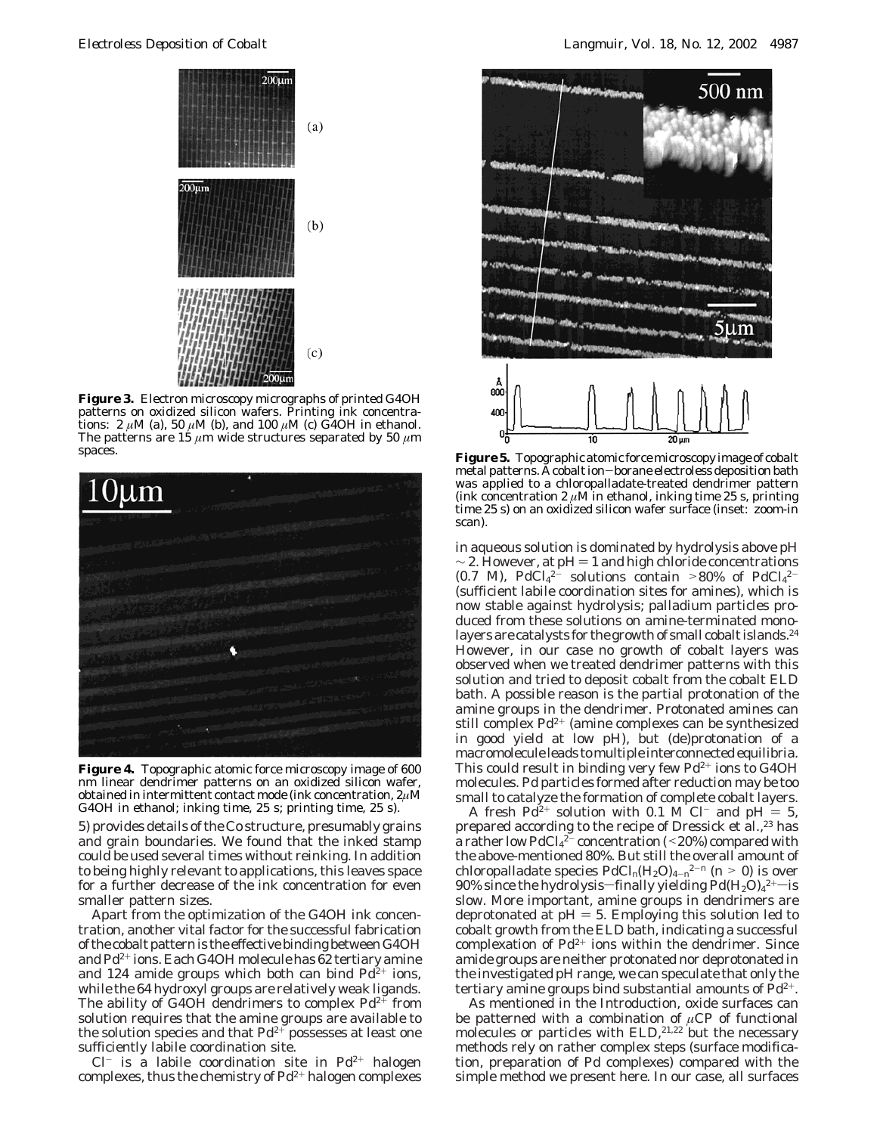

**Figure 3.** Electron microscopy micrographs of printed G4OH patterns on oxidized silicon wafers. Printing ink concentrations:  $2 \mu M$  (a),  $50 \mu M$  (b), and  $100 \mu M$  (c) G4OH in ethanol. The patterns are 15  $\mu$ m wide structures separated by 50  $\mu$ m spaces.



**Figure 4.** Topographic atomic force microscopy image of 600 nm linear dendrimer patterns on an oxidized silicon wafer, obtained in intermittent contact mode (ink concentration, 2*µ*M G4OH in ethanol; inking time, 25 s; printing time, 25 s).

5) provides details of the Co structure, presumably grains and grain boundaries. We found that the inked stamp could be used several times without reinking. In addition to being highly relevant to applications, this leaves space for a further decrease of the ink concentration for even smaller pattern sizes.

Apart from the optimization of the G4OH ink concentration, another vital factor for the successful fabrication of the cobalt pattern is the effective binding between G4OH and  $Pd^{2+}$  ions. Each G4OH molecule has 62 tertiary amine and 124 amide groups which both can bind  $Pd^2$ <sup>+</sup> ions, while the 64 hydroxyl groups are relatively weak ligands. The ability of G4OH dendrimers to complex  $Pd^{2+}$  from solution requires that the amine groups are available to the solution species and that  $Pd^{2+}$  possesses at least one sufficiently labile coordination site.

 $Cl^-$  is a labile coordination site in  $Pd^{2+}$  halogen complexes, thus the chemistry of  $Pd^{2+}$  halogen complexes



**Figure 5.** Topographic atomic force microscopy image of cobalt metal patterns. A cobalt ion-borane electroless deposition bath was applied to a chloropalladate-treated dendrimer pattern (ink concentration  $2 \mu M$  in ethanol, inking time 25 s, printing time 25 s) on an oxidized silicon wafer surface (inset: zoom-in scan).

in aqueous solution is dominated by hydrolysis above pH ∼ 2. However, at pH = 1 and high chloride concentrations<br>(0.7 M), PdCl<sub>4</sub><sup>2-</sup> solutions contain >80% of PdCl<sub>4</sub><sup>2-</sup><br>(sufficient labile coordination sites for amines) which is (sufficient labile coordination sites for amines), which is now stable against hydrolysis; palladium particles produced from these solutions on amine-terminated monolayers are catalysts for the growth of small cobalt islands.<sup>24</sup> However, in our case no growth of cobalt layers was observed when we treated dendrimer patterns with this solution and tried to deposit cobalt from the cobalt ELD bath. A possible reason is the partial protonation of the amine groups in the dendrimer. Protonated amines can still complex Pd<sup>2+</sup> (amine complexes can be synthesized in good yield at low pH), but (de)protonation of a macromolecule leads to multiple interconnected equilibria. This could result in binding very few  $Pd^{2+}$  ions to G4OH molecules. Pd particles formed after reduction may be too small to catalyze the formation of complete cobalt layers.

A fresh Pd<sup>2+</sup> solution with 0.1 M Cl<sup>-</sup> and pH = 5, prepared according to the recipe of Dressick et al.,<sup>23</sup> has a rather low PdCl4<sup>2-</sup> concentration (<20%) compared with<br>the above-mentioned 80%. But still the overall amount of the above-mentioned 80%. But still the overall amount of chloropalladate species PdCl*n*(H2O)4-*<sup>n</sup>* <sup>2</sup>-*<sup>n</sup>* (*<sup>n</sup>* > 0) is over 90% since the hydrolysis—finally yielding  $Pd(H_2O)_4^{2+}$ —is slow. More important, amine groups in dendrimers are deprotonated at  $pH = 5$ . Employing this solution led to cobalt growth from the ELD bath, indicating a successful complexation of  $Pd^{2+}$  ions within the dendrimer. Since amide groups are neither protonated nor deprotonated in the investigated pH range, we can speculate that only the tertiary amine groups bind substantial amounts of  $Pd^{2+}$ .

As mentioned in the Introduction, oxide surfaces can be patterned with a combination of  $\mu$ CP of functional molecules or particles with ELD,<sup>21,22</sup> but the necessary methods rely on rather complex steps (surface modification, preparation of Pd complexes) compared with the simple method we present here. In our case, all surfaces